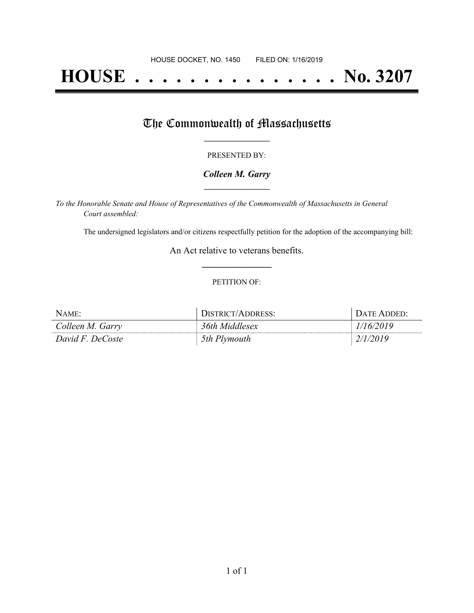# **HOUSE . . . . . . . . . . . . . . . No. 3207**

## The Commonwealth of Massachusetts

#### PRESENTED BY:

#### *Colleen M. Garry* **\_\_\_\_\_\_\_\_\_\_\_\_\_\_\_\_\_**

*To the Honorable Senate and House of Representatives of the Commonwealth of Massachusetts in General Court assembled:*

The undersigned legislators and/or citizens respectfully petition for the adoption of the accompanying bill:

An Act relative to veterans benefits. **\_\_\_\_\_\_\_\_\_\_\_\_\_\_\_**

#### PETITION OF:

| NAME:            | <b>JISTRICT/ADDRESS:</b> | <b>DATE ADDED:</b> |
|------------------|--------------------------|--------------------|
| Colleen M. Garry | 36th Middlesex           | 46/2019            |
| David F. DeCoste | 5th Plymouth             |                    |